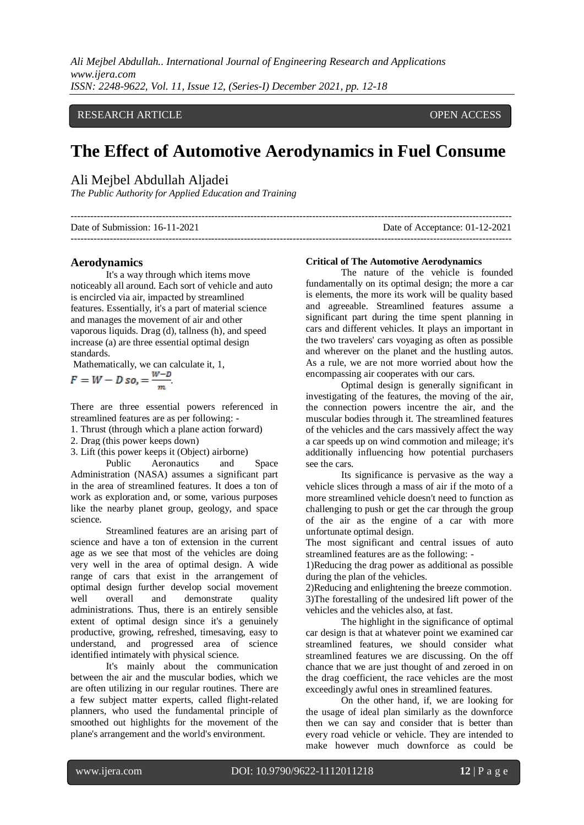## RESEARCH ARTICLE **CONTRACT ARTICLE** AND A SERVICE OPEN ACCESS

# **The Effect of Automotive Aerodynamics in Fuel Consume**

# Ali Mejbel Abdullah Aljadei

*The Public Authority for Applied Education and Training*

| Date of Submission: 16-11-2021 | Date of Acceptance: 01-12-2021 |
|--------------------------------|--------------------------------|
|                                |                                |

## **Aerodynamics**

It's a way through which items move noticeably all around. Each sort of vehicle and auto is encircled via air, impacted by streamlined features. Essentially, it's a part of material science and manages the movement of air and other vaporous liquids. Drag (d), tallness (h), and speed increase (a) are three essential optimal design standards.

Mathematically, we can calculate it, 1,

$$
F = W - D \text{ so, } = \frac{w - D}{m}
$$

There are three essential powers referenced in streamlined features are as per following: -

1. Thrust (through which a plane action forward)

2. Drag (this power keeps down)

3. Lift (this power keeps it (Object) airborne)

Public Aeronautics and Space Administration (NASA) assumes a significant part in the area of streamlined features. It does a ton of work as exploration and, or some, various purposes like the nearby planet group, geology, and space science.

Streamlined features are an arising part of science and have a ton of extension in the current age as we see that most of the vehicles are doing very well in the area of optimal design. A wide range of cars that exist in the arrangement of optimal design further develop social movement well overall and demonstrate quality administrations. Thus, there is an entirely sensible extent of optimal design since it's a genuinely productive, growing, refreshed, timesaving, easy to understand, and progressed area of science identified intimately with physical science.

It's mainly about the communication between the air and the muscular bodies, which we are often utilizing in our regular routines. There are a few subject matter experts, called flight-related planners, who used the fundamental principle of smoothed out highlights for the movement of the plane's arrangement and the world's environment.

## **Critical of The Automotive Aerodynamics**

The nature of the vehicle is founded fundamentally on its optimal design; the more a car is elements, the more its work will be quality based and agreeable. Streamlined features assume a significant part during the time spent planning in cars and different vehicles. It plays an important in the two travelers' cars voyaging as often as possible and wherever on the planet and the hustling autos. As a rule, we are not more worried about how the encompassing air cooperates with our cars.

Optimal design is generally significant in investigating of the features, the moving of the air, the connection powers incentre the air, and the muscular bodies through it. The streamlined features of the vehicles and the cars massively affect the way a car speeds up on wind commotion and mileage; it's additionally influencing how potential purchasers see the cars.

Its significance is pervasive as the way a vehicle slices through a mass of air if the moto of a more streamlined vehicle doesn't need to function as challenging to push or get the car through the group of the air as the engine of a car with more unfortunate optimal design.

The most significant and central issues of auto streamlined features are as the following: -

1)Reducing the drag power as additional as possible during the plan of the vehicles.

2)Reducing and enlightening the breeze commotion. 3)The forestalling of the undesired lift power of the vehicles and the vehicles also, at fast.

The highlight in the significance of optimal car design is that at whatever point we examined car streamlined features, we should consider what streamlined features we are discussing. On the off chance that we are just thought of and zeroed in on the drag coefficient, the race vehicles are the most exceedingly awful ones in streamlined features.

On the other hand, if, we are looking for the usage of ideal plan similarly as the downforce then we can say and consider that is better than every road vehicle or vehicle. They are intended to make however much downforce as could be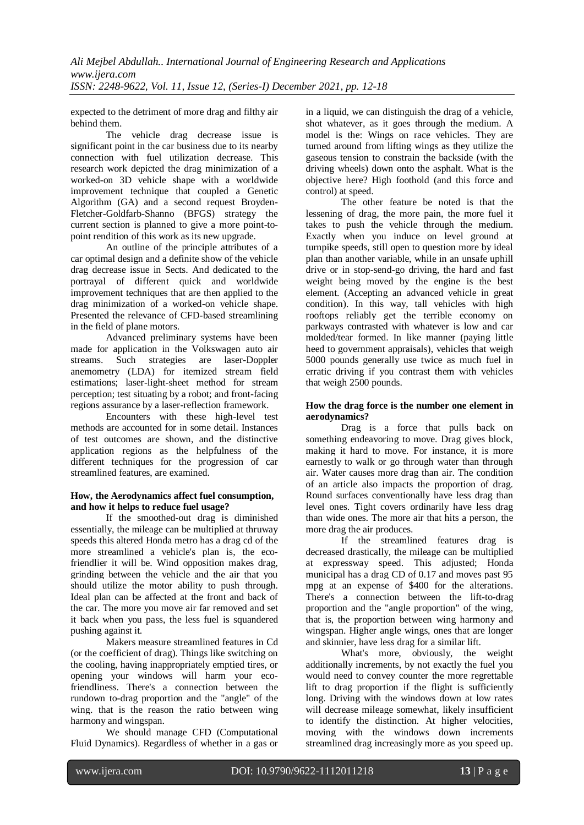expected to the detriment of more drag and filthy air behind them.

The vehicle drag decrease issue is significant point in the car business due to its nearby connection with fuel utilization decrease. This research work depicted the drag minimization of a worked-on 3D vehicle shape with a worldwide improvement technique that coupled a Genetic Algorithm (GA) and a second request Broyden-Fletcher-Goldfarb-Shanno (BFGS) strategy the current section is planned to give a more point-topoint rendition of this work as its new upgrade.

An outline of the principle attributes of a car optimal design and a definite show of the vehicle drag decrease issue in Sects. And dedicated to the portrayal of different quick and worldwide improvement techniques that are then applied to the drag minimization of a worked-on vehicle shape. Presented the relevance of CFD-based streamlining in the field of plane motors.

Advanced preliminary systems have been made for application in the Volkswagen auto air streams. Such strategies are laser-Doppler anemometry (LDA) for itemized stream field estimations; laser-light-sheet method for stream perception; test situating by a robot; and front-facing regions assurance by a laser-reflection framework.

Encounters with these high-level test methods are accounted for in some detail. Instances of test outcomes are shown, and the distinctive application regions as the helpfulness of the different techniques for the progression of car streamlined features, are examined.

# **How, the Aerodynamics affect fuel consumption, and how it helps to reduce fuel usage?**

If the smoothed-out drag is diminished essentially, the mileage can be multiplied at thruway speeds this altered Honda metro has a drag cd of the more streamlined a vehicle's plan is, the ecofriendlier it will be. Wind opposition makes drag, grinding between the vehicle and the air that you should utilize the motor ability to push through. Ideal plan can be affected at the front and back of the car. The more you move air far removed and set it back when you pass, the less fuel is squandered pushing against it.

Makers measure streamlined features in Cd (or the coefficient of drag). Things like switching on the cooling, having inappropriately emptied tires, or opening your windows will harm your ecofriendliness. There's a connection between the rundown to-drag proportion and the "angle" of the wing. that is the reason the ratio between wing harmony and wingspan.

We should manage CFD (Computational Fluid Dynamics). Regardless of whether in a gas or in a liquid, we can distinguish the drag of a vehicle, shot whatever, as it goes through the medium. A model is the: Wings on race vehicles. They are turned around from lifting wings as they utilize the gaseous tension to constrain the backside (with the driving wheels) down onto the asphalt. What is the objective here? High foothold (and this force and control) at speed.

The other feature be noted is that the lessening of drag, the more pain, the more fuel it takes to push the vehicle through the medium. Exactly when you induce on level ground at turnpike speeds, still open to question more by ideal plan than another variable, while in an unsafe uphill drive or in stop-send-go driving, the hard and fast weight being moved by the engine is the best element. (Accepting an advanced vehicle in great condition). In this way, tall vehicles with high rooftops reliably get the terrible economy on parkways contrasted with whatever is low and car molded/tear formed. In like manner (paying little heed to government appraisals), vehicles that weigh 5000 pounds generally use twice as much fuel in erratic driving if you contrast them with vehicles that weigh 2500 pounds.

# **How the drag force is the number one element in aerodynamics?**

Drag is a force that pulls back on something endeavoring to move. Drag gives block, making it hard to move. For instance, it is more earnestly to walk or go through water than through air. Water causes more drag than air. The condition of an article also impacts the proportion of drag. Round surfaces conventionally have less drag than level ones. Tight covers ordinarily have less drag than wide ones. The more air that hits a person, the more drag the air produces.

If the streamlined features drag is decreased drastically, the mileage can be multiplied at expressway speed. This adjusted; Honda municipal has a drag CD of 0.17 and moves past 95 mpg at an expense of \$400 for the alterations. There's a connection between the lift-to-drag proportion and the "angle proportion" of the wing, that is, the proportion between wing harmony and wingspan. Higher angle wings, ones that are longer and skinnier, have less drag for a similar lift.

What's more, obviously, the weight additionally increments, by not exactly the fuel you would need to convey counter the more regrettable lift to drag proportion if the flight is sufficiently long. Driving with the windows down at low rates will decrease mileage somewhat, likely insufficient to identify the distinction. At higher velocities, moving with the windows down increments streamlined drag increasingly more as you speed up.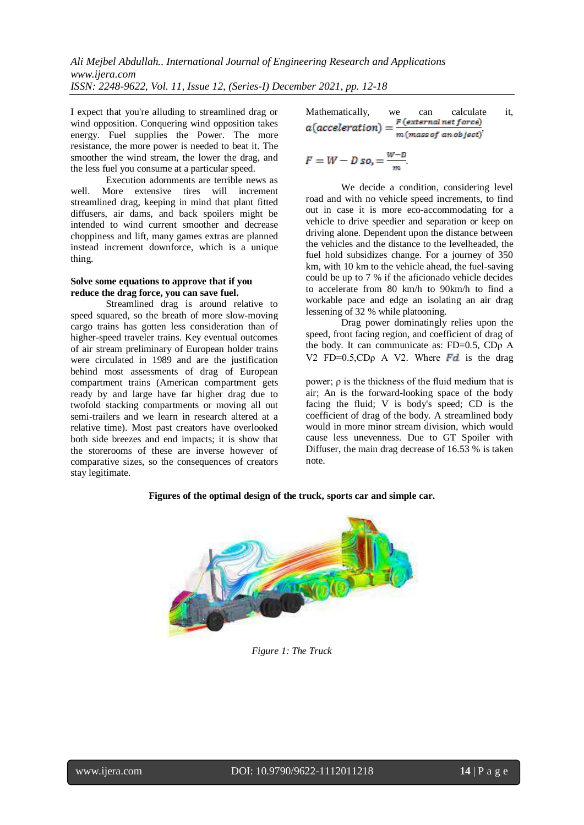I expect that you're alluding to streamlined drag or wind opposition. Conquering wind opposition takes energy. Fuel supplies the Power. The more resistance, the more power is needed to beat it. The smoother the wind stream, the lower the drag, and the less fuel you consume at a particular speed.

Execution adornments are terrible news as well. More extensive tires will increment streamlined drag, keeping in mind that plant fitted diffusers, air dams, and back spoilers might be intended to wind current smoother and decrease choppiness and lift, many games extras are planned instead increment downforce, which is a unique thing.

## **Solve some equations to approve that if you reduce the drag force, you can save fuel.**

Streamlined drag is around relative to speed squared, so the breath of more slow-moving cargo trains has gotten less consideration than of higher-speed traveler trains. Key eventual outcomes of air stream preliminary of European holder trains were circulated in 1989 and are the justification behind most assessments of drag of European compartment trains (American compartment gets ready by and large have far higher drag due to twofold stacking compartments or moving all out semi-trailers and we learn in research altered at a relative time). Most past creators have overlooked both side breezes and end impacts; it is show that the storerooms of these are inverse however of comparative sizes, so the consequences of creators stay legitimate.

Mathematically, we can calculate 
$$
a(acceleration) = \frac{F\left(external\,force\right)}{m\left(meas\,f\right)}.
$$

$$
F = W - D \text{ so, } = \frac{W - D}{m}.
$$

We decide a condition, considering level road and with no vehicle speed increments, to find out in case it is more eco-accommodating for a vehicle to drive speedier and separation or keep on driving alone. Dependent upon the distance between the vehicles and the distance to the levelheaded, the fuel hold subsidizes change. For a journey of 350 km, with 10 km to the vehicle ahead, the fuel-saving could be up to 7 % if the aficionado vehicle decides to accelerate from 80 km/h to 90km/h to find a workable pace and edge an isolating an air drag lessening of 32 % while platooning.

Drag power dominatingly relies upon the speed, front facing region, and coefficient of drag of the body. It can communicate as: FD=0.5, CDρ A V2 FD=0.5,CD<sub>0</sub> A V2. Where  $\overline{Fd}$  is the drag

power; ρ is the thickness of the fluid medium that is air; An is the forward-looking space of the body facing the fluid; V is body's speed; CD is the coefficient of drag of the body. A streamlined body would in more minor stream division, which would cause less unevenness. Due to GT Spoiler with Diffuser, the main drag decrease of 16.53 % is taken note.



# **Figures of the optimal design of the truck, sports car and simple car.**

## *Figure 1: The Truck*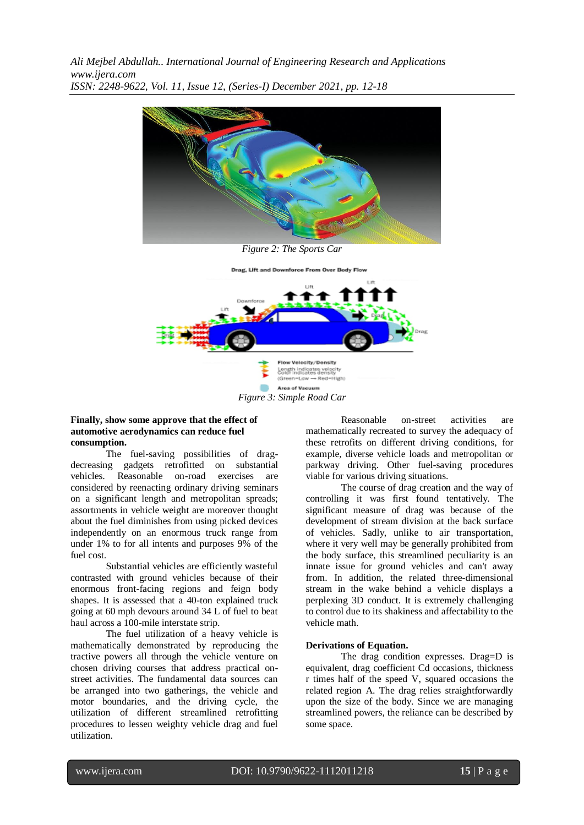

*Figure 2: The Sports Car*



*Figure 3: Simple Road Car*

## **Finally, show some approve that the effect of automotive aerodynamics can reduce fuel consumption.**

The fuel-saving possibilities of dragdecreasing gadgets retrofitted on substantial vehicles. Reasonable on-road exercises are considered by reenacting ordinary driving seminars on a significant length and metropolitan spreads; assortments in vehicle weight are moreover thought about the fuel diminishes from using picked devices independently on an enormous truck range from under 1% to for all intents and purposes 9% of the fuel cost.

Substantial vehicles are efficiently wasteful contrasted with ground vehicles because of their enormous front-facing regions and feign body shapes. It is assessed that a 40-ton explained truck going at 60 mph devours around 34 L of fuel to beat haul across a 100-mile interstate strip.

The fuel utilization of a heavy vehicle is mathematically demonstrated by reproducing the tractive powers all through the vehicle venture on chosen driving courses that address practical onstreet activities. The fundamental data sources can be arranged into two gatherings, the vehicle and motor boundaries, and the driving cycle, the utilization of different streamlined retrofitting procedures to lessen weighty vehicle drag and fuel utilization.

Reasonable on-street activities are mathematically recreated to survey the adequacy of these retrofits on different driving conditions, for example, diverse vehicle loads and metropolitan or parkway driving. Other fuel-saving procedures viable for various driving situations.

The course of drag creation and the way of controlling it was first found tentatively. The significant measure of drag was because of the development of stream division at the back surface of vehicles. Sadly, unlike to air transportation, where it very well may be generally prohibited from the body surface, this streamlined peculiarity is an innate issue for ground vehicles and can't away from. In addition, the related three-dimensional stream in the wake behind a vehicle displays a perplexing 3D conduct. It is extremely challenging to control due to its shakiness and affectability to the vehicle math.

## **Derivations of Equation.**

The drag condition expresses. Drag=D is equivalent, drag coefficient Cd occasions, thickness r times half of the speed V, squared occasions the related region A. The drag relies straightforwardly upon the size of the body. Since we are managing streamlined powers, the reliance can be described by some space.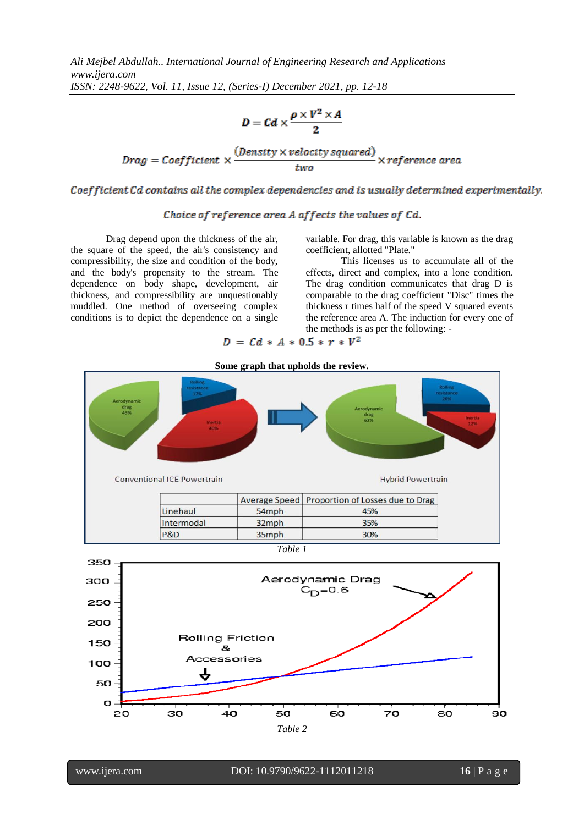$$
D = C d \times \frac{\rho \times V^2 \times A}{2}
$$

 $\text{ Drag} = \text{Coefficient} \times \frac{(\text{Density} \times \text{velocity squared})}{\text{trace}} \times \text{reference area}$ 

Coefficient Cd contains all the complex dependencies and is usually determined experimentally.

# Choice of reference area A affects the values of Cd.

Drag depend upon the thickness of the air, the square of the speed, the air's consistency and compressibility, the size and condition of the body, and the body's propensity to the stream. The dependence on body shape, development, air thickness, and compressibility are unquestionably muddled. One method of overseeing complex conditions is to depict the dependence on a single variable. For drag, this variable is known as the drag coefficient, allotted "Plate."

This licenses us to accumulate all of the effects, direct and complex, into a lone condition. The drag condition communicates that drag D is comparable to the drag coefficient "Disc" times the thickness r times half of the speed V squared events the reference area A. The induction for every one of the methods is as per the following: -

$$
D = Cd \times A \times 0.5 \times r \times V^2
$$

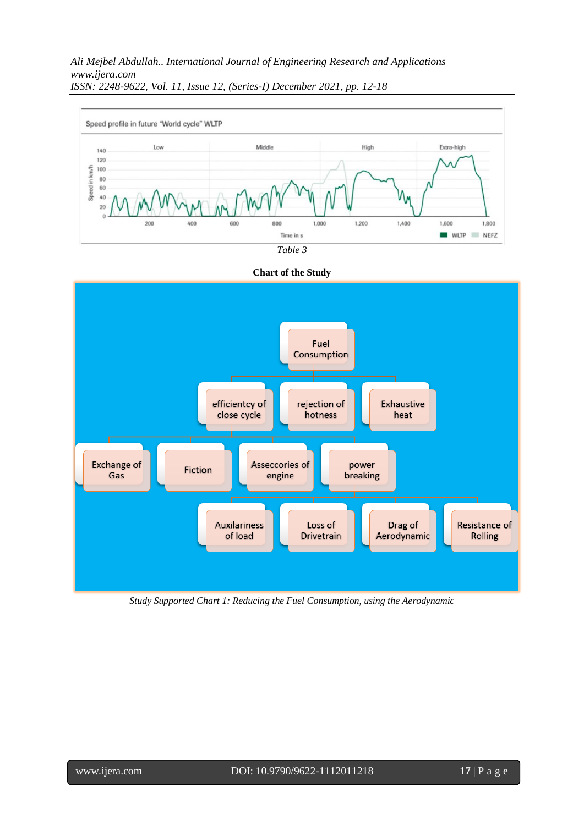







*Study Supported Chart 1: Reducing the Fuel Consumption, using the Aerodynamic*